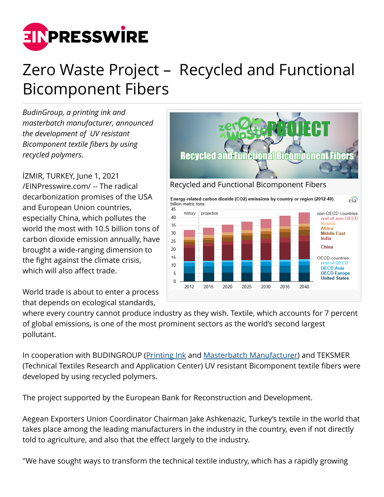

## Zero Waste Project – Recycled and Functional Bicomponent Fibers

*BudinGroup, a printing ink and masterbatch manufacturer, announced the development of UV resistant Bicomponent textile fibers by using recycled polymers.*

İZMIR, TURKEY, June 1, 2021 [/EINPresswire.com/](http://www.einpresswire.com) -- The radical decarbonization promises of the USA and European Union countries, especially China, which pollutes the world the most with 10.5 billion tons of carbon dioxide emission annually, have brought a wide-ranging dimension to the fight against the climate crisis, which will also affect trade.

World trade is about to enter a process that depends on ecological standards,



where every country cannot produce industry as they wish. Textile, which accounts for 7 percent of global emissions, is one of the most prominent sectors as the world's second largest pollutant.

In cooperation with BUDINGROUP [\(Printing Ink](https://www.budingroup.com/products/printing-inks/) and [Masterbatch Manufacturer\)](https://www.budingroup.com/products/masterbatches/) and TEKSMER (Technical Textiles Research and Application Center) UV resistant Bicomponent textile fibers were developed by using recycled polymers.

The project supported by the European Bank for Reconstruction and Development.

Aegean Exporters Union Coordinator Chairman Jake Ashkenazic, Turkey's textile in the world that takes place among the leading manufacturers in the industry in the country, even if not directly told to agriculture, and also that the effect largely to the industry.

"We have sought ways to transform the technical textile industry, which has a rapidly growing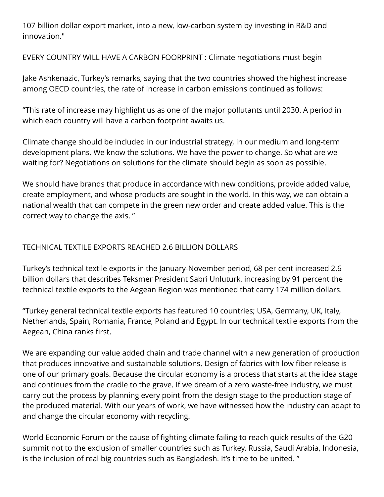107 billion dollar export market, into a new, low-carbon system by investing in R&D and innovation."

EVERY COUNTRY WILL HAVE A CARBON FOORPRINT : Climate negotiations must begin

Jake Ashkenazic, Turkey's remarks, saying that the two countries showed the highest increase among OECD countries, the rate of increase in carbon emissions continued as follows:

"This rate of increase may highlight us as one of the major pollutants until 2030. A period in which each country will have a carbon footprint awaits us.

Climate change should be included in our industrial strategy, in our medium and long-term development plans. We know the solutions. We have the power to change. So what are we waiting for? Negotiations on solutions for the climate should begin as soon as possible.

We should have brands that produce in accordance with new conditions, provide added value, create employment, and whose products are sought in the world. In this way, we can obtain a national wealth that can compete in the green new order and create added value. This is the correct way to change the axis. "

## TECHNICAL TEXTILE EXPORTS REACHED 2.6 BILLION DOLLARS

Turkey's technical textile exports in the January-November period, 68 per cent increased 2.6 billion dollars that describes Teksmer President Sabri Unluturk, increasing by 91 percent the technical textile exports to the Aegean Region was mentioned that carry 174 million dollars.

"Turkey general technical textile exports has featured 10 countries; USA, Germany, UK, Italy, Netherlands, Spain, Romania, France, Poland and Egypt. In our technical textile exports from the Aegean, China ranks first.

We are expanding our value added chain and trade channel with a new generation of production that produces innovative and sustainable solutions. Design of fabrics with low fiber release is one of our primary goals. Because the circular economy is a process that starts at the idea stage and continues from the cradle to the grave. If we dream of a zero waste-free industry, we must carry out the process by planning every point from the design stage to the production stage of the produced material. With our years of work, we have witnessed how the industry can adapt to and change the circular economy with recycling.

World Economic Forum or the cause of fighting climate failing to reach quick results of the G20 summit not to the exclusion of smaller countries such as Turkey, Russia, Saudi Arabia, Indonesia, is the inclusion of real big countries such as Bangladesh. It's time to be united. "